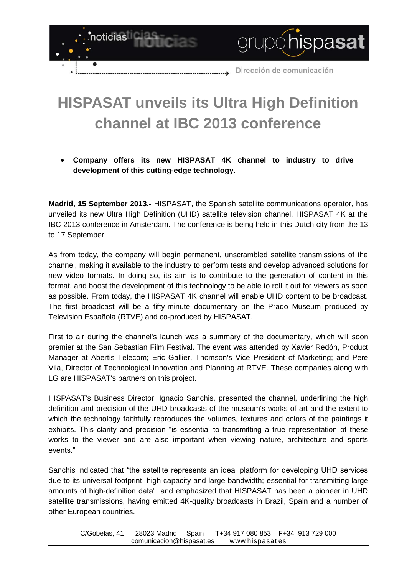

## **HISPASAT unveils its Ultra High Definition channel at IBC 2013 conference**

**Company offers its new HISPASAT 4K channel to industry to drive development of this cutting-edge technology.**

**Madrid, 15 September 2013.-** HISPASAT, the Spanish satellite communications operator, has unveiled its new Ultra High Definition (UHD) satellite television channel, HISPASAT 4K at the IBC 2013 conference in Amsterdam. The conference is being held in this Dutch city from the 13 to 17 September.

As from today, the company will begin permanent, unscrambled satellite transmissions of the channel, making it available to the industry to perform tests and develop advanced solutions for new video formats. In doing so, its aim is to contribute to the generation of content in this format, and boost the development of this technology to be able to roll it out for viewers as soon as possible. From today, the HISPASAT 4K channel will enable UHD content to be broadcast. The first broadcast will be a fifty-minute documentary on the Prado Museum produced by Televisión Española (RTVE) and co-produced by HISPASAT.

First to air during the channel's launch was a summary of the documentary, which will soon premier at the San Sebastian Film Festival. The event was attended by Xavier Redón, Product Manager at Abertis Telecom; Eric Gallier, Thomson's Vice President of Marketing; and Pere Vila, Director of Technological Innovation and Planning at RTVE. These companies along with LG are HISPASAT's partners on this project.

HISPASAT's Business Director, Ignacio Sanchis, presented the channel, underlining the high definition and precision of the UHD broadcasts of the museum's works of art and the extent to which the technology faithfully reproduces the volumes, textures and colors of the paintings it exhibits. This clarity and precision "is essential to transmitting a true representation of these works to the viewer and are also important when viewing nature, architecture and sports events."

Sanchis indicated that "the satellite represents an ideal platform for developing UHD services due to its universal footprint, high capacity and large bandwidth; essential for transmitting large amounts of high-definition data", and emphasized that HISPASAT has been a pioneer in UHD satellite transmissions, having emitted 4K-quality broadcasts in Brazil, Spain and a number of other European countries.